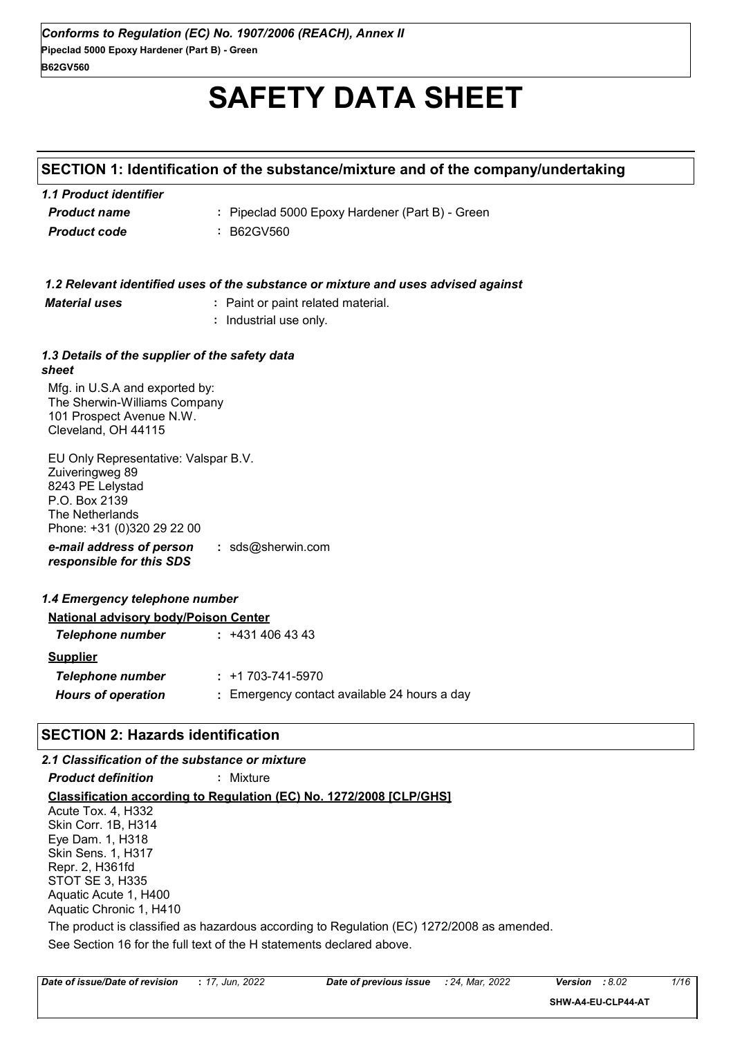# **SAFETY DATA SHEET**

### **SECTION 1: Identification of the substance/mixture and of the company/undertaking**

| 1.1 Product identifier |                                                 |
|------------------------|-------------------------------------------------|
| <b>Product name</b>    | : Pipeclad 5000 Epoxy Hardener (Part B) - Green |
| <b>Product code</b>    | : B62GV560                                      |

|                                                                                                                                               | 1.2 Relevant identified uses of the substance or mixture and uses advised against |
|-----------------------------------------------------------------------------------------------------------------------------------------------|-----------------------------------------------------------------------------------|
| <b>Material uses</b>                                                                                                                          | : Paint or paint related material.                                                |
|                                                                                                                                               | : Industrial use only.                                                            |
|                                                                                                                                               |                                                                                   |
| 1.3 Details of the supplier of the safety data<br>sheet                                                                                       |                                                                                   |
| Mfg. in U.S.A and exported by:<br>The Sherwin-Williams Company<br>101 Prospect Avenue N.W.<br>Cleveland, OH 44115                             |                                                                                   |
| EU Only Representative: Valspar B.V.<br>Zuiveringweg 89<br>8243 PE Lelystad<br>P.O. Box 2139<br>The Netherlands<br>Phone: +31 (0)320 29 22 00 |                                                                                   |
| e-mail address of person<br>responsible for this SDS                                                                                          | : $sds@sherwin.com$                                                               |
| 1.4 Emergency telephone number                                                                                                                |                                                                                   |
| <b>National advisory body/Poison Center</b>                                                                                                   |                                                                                   |
| <b>Telephone number</b>                                                                                                                       | $: +4314064343$                                                                   |
| <b>Supplier</b>                                                                                                                               |                                                                                   |
| <b>Telephone number</b>                                                                                                                       | $: +1703 - 741 - 5970$                                                            |
| <b>Hours of operation</b>                                                                                                                     | : Emergency contact available 24 hours a day                                      |
|                                                                                                                                               |                                                                                   |

### **SECTION 2: Hazards identification**

#### **Classification according to Regulation (EC) No. 1272/2008 [CLP/GHS]** *2.1 Classification of the substance or mixture Product definition* **:** Mixture See Section 16 for the full text of the H statements declared above. Acute Tox. 4, H332 Skin Corr. 1B, H314 Eye Dam. 1, H318 Skin Sens. 1, H317 Repr. 2, H361fd STOT SE 3, H335 Aquatic Acute 1, H400 Aquatic Chronic 1, H410 The product is classified as hazardous according to Regulation (EC) 1272/2008 as amended.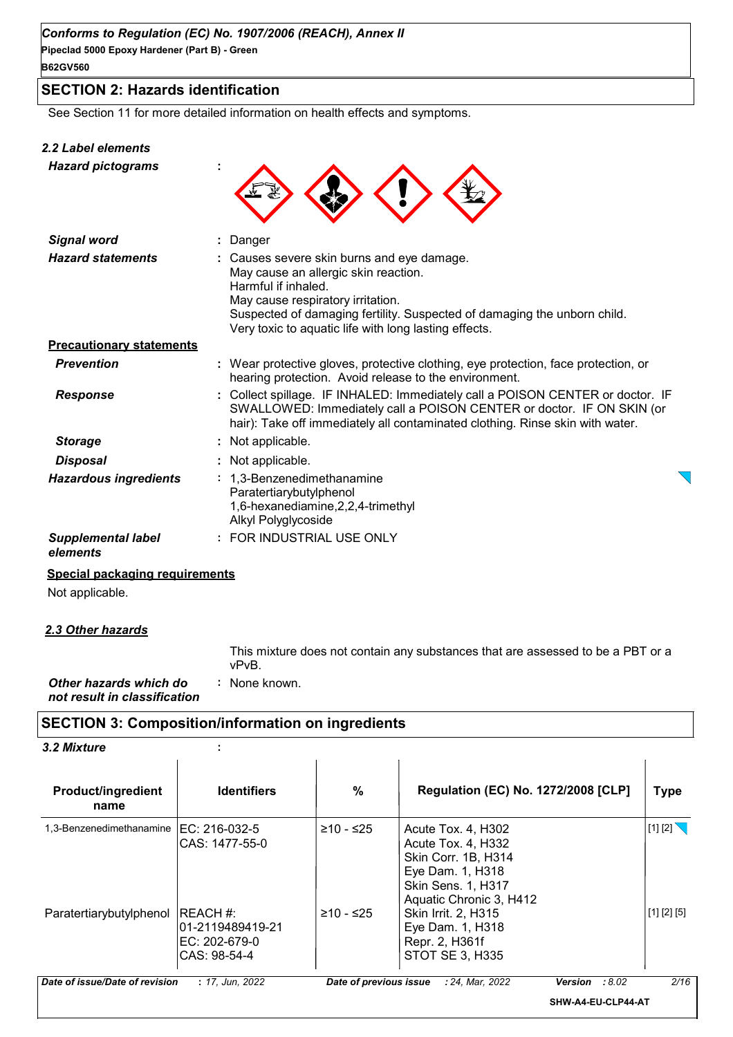### **SECTION 2: Hazards identification**

See Section 11 for more detailed information on health effects and symptoms.

| <b>2.2 Label elements</b><br><b>Hazard pictograms</b> |                                                                                                                                                                                                                                                                                     |
|-------------------------------------------------------|-------------------------------------------------------------------------------------------------------------------------------------------------------------------------------------------------------------------------------------------------------------------------------------|
| <b>Signal word</b>                                    | : Danger                                                                                                                                                                                                                                                                            |
| <b>Hazard statements</b>                              | : Causes severe skin burns and eye damage.<br>May cause an allergic skin reaction.<br>Harmful if inhaled.<br>May cause respiratory irritation.<br>Suspected of damaging fertility. Suspected of damaging the unborn child.<br>Very toxic to aquatic life with long lasting effects. |
| <b>Precautionary statements</b>                       |                                                                                                                                                                                                                                                                                     |
| <b>Prevention</b>                                     | : Wear protective gloves, protective clothing, eye protection, face protection, or<br>hearing protection. Avoid release to the environment.                                                                                                                                         |
| <b>Response</b>                                       | : Collect spillage. IF INHALED: Immediately call a POISON CENTER or doctor. IF<br>SWALLOWED: Immediately call a POISON CENTER or doctor. IF ON SKIN (or<br>hair): Take off immediately all contaminated clothing. Rinse skin with water.                                            |
| <b>Storage</b>                                        | : Not applicable.                                                                                                                                                                                                                                                                   |
| Disposal                                              | : Not applicable.                                                                                                                                                                                                                                                                   |

| Hazardous ingredients     | : 1,3-Benzenedimethanamine<br>Paratertiarybutylphenol<br>1,6-hexanediamine, 2, 2, 4-trimethyl |
|---------------------------|-----------------------------------------------------------------------------------------------|
|                           | Alkyl Polyglycoside                                                                           |
| <b>Supplemental label</b> | : FOR INDUSTRIAL USE ONLY                                                                     |

#### *elements*

#### **Special packaging requirements**

Not applicable.

#### *2.3 Other hazards*

This mixture does not contain any substances that are assessed to be a PBT or a vPvB.

| Other hazards which do       | : None known. |  |
|------------------------------|---------------|--|
| not result in classification |               |  |

### **SECTION 3: Composition/information on ingredients**

*3.2 Mixture* **:**

| <b>Product/ingredient</b><br>name | <b>Identifiers</b>                                              | $\%$                   | <b>Regulation (EC) No. 1272/2008 [CLP]</b>                                                                                           |                    | <b>Type</b> |
|-----------------------------------|-----------------------------------------------------------------|------------------------|--------------------------------------------------------------------------------------------------------------------------------------|--------------------|-------------|
| 1,3-Benzenedimethanamine          | IEC: 216-032-5<br>CAS: 1477-55-0                                | ≥10 - ≤25              | Acute Tox. 4, H302<br>Acute Tox. 4, H332<br>Skin Corr. 1B, H314<br>Eye Dam. 1, H318<br>Skin Sens. 1, H317<br>Aquatic Chronic 3, H412 |                    | $[1]$ [2]   |
| Paratertiarybutylphenol           | IREACH #:<br>l01-2119489419-21<br>EC: 202-679-0<br>CAS: 98-54-4 | $≥10 - ≤25$            | Skin Irrit. 2, H315<br>Eye Dam. 1, H318<br>Repr. 2, H361f<br><b>STOT SE 3, H335</b>                                                  |                    | [1] [2] [5] |
| Date of issue/Date of revision    | : 17, Jun, 2022                                                 | Date of previous issue | : 24, Mar, 2022                                                                                                                      | Version<br>:8.02   | 2/16        |
|                                   |                                                                 |                        |                                                                                                                                      | SHW-A4-EU-CLP44-AT |             |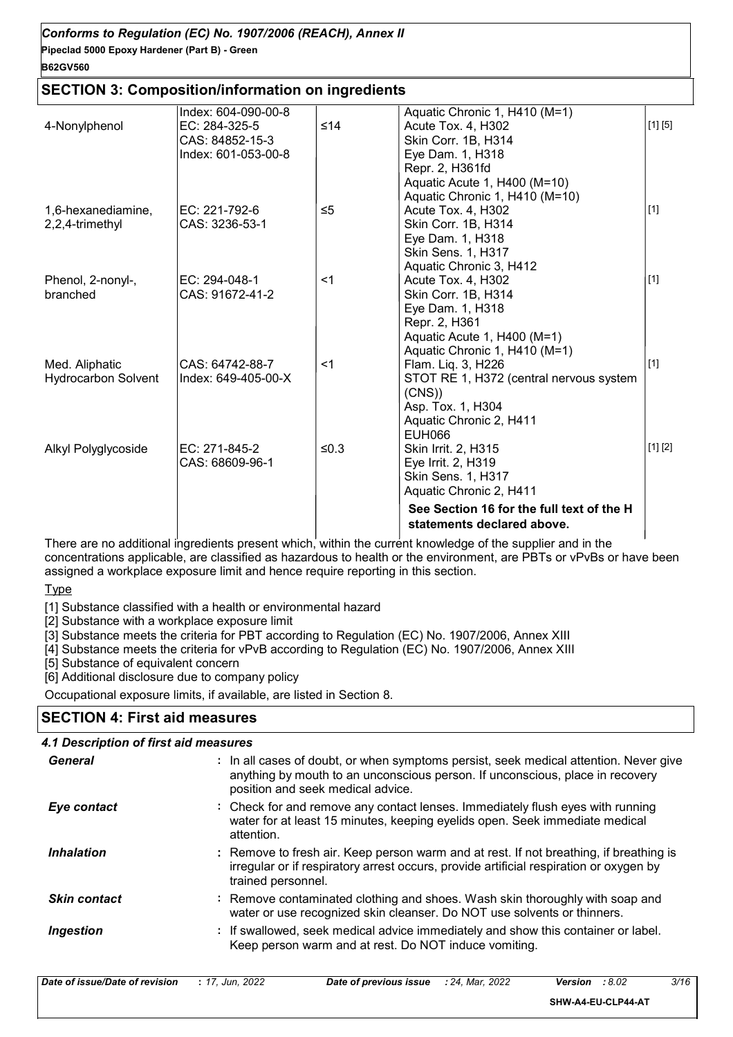#### **SECTION 3: Composition/information on ingredients**

|                            | Index: 604-090-00-8 |          | Aquatic Chronic 1, H410 (M=1)             |         |
|----------------------------|---------------------|----------|-------------------------------------------|---------|
| 4-Nonylphenol              | EC: 284-325-5       | ≤14      | Acute Tox. 4, H302                        | [1] [5] |
|                            | CAS: 84852-15-3     |          | Skin Corr. 1B, H314                       |         |
|                            | Index: 601-053-00-8 |          | Eye Dam. 1, H318                          |         |
|                            |                     |          | Repr. 2, H361fd                           |         |
|                            |                     |          | Aquatic Acute 1, H400 (M=10)              |         |
|                            |                     |          | Aquatic Chronic 1, H410 (M=10)            |         |
| 1,6-hexanediamine,         | EC: 221-792-6       | $\leq 5$ | Acute Tox. 4, H302                        | $[1]$   |
| 2,2,4-trimethyl            | CAS: 3236-53-1      |          | Skin Corr. 1B, H314                       |         |
|                            |                     |          | Eye Dam. 1, H318                          |         |
|                            |                     |          | Skin Sens. 1, H317                        |         |
|                            |                     |          | Aquatic Chronic 3, H412                   |         |
| Phenol, 2-nonyl-,          | EC: 294-048-1       | $<$ 1    | Acute Tox. 4, H302                        | $[1]$   |
| branched                   | CAS: 91672-41-2     |          | Skin Corr. 1B, H314                       |         |
|                            |                     |          | Eye Dam. 1, H318                          |         |
|                            |                     |          | Repr. 2, H361                             |         |
|                            |                     |          | Aquatic Acute 1, H400 (M=1)               |         |
|                            |                     |          | Aquatic Chronic 1, H410 (M=1)             |         |
| Med. Aliphatic             | CAS: 64742-88-7     | $<$ 1    | Flam. Liq. 3, H226                        | $[1]$   |
| <b>Hydrocarbon Solvent</b> | Index: 649-405-00-X |          | STOT RE 1, H372 (central nervous system   |         |
|                            |                     |          | (CNS)                                     |         |
|                            |                     |          | Asp. Tox. 1, H304                         |         |
|                            |                     |          | Aquatic Chronic 2, H411                   |         |
|                            |                     |          | <b>EUH066</b>                             |         |
| Alkyl Polyglycoside        | EC: 271-845-2       | ≤0.3     | Skin Irrit. 2, H315                       | [1] [2] |
|                            | CAS: 68609-96-1     |          | Eye Irrit. 2, H319                        |         |
|                            |                     |          | Skin Sens. 1, H317                        |         |
|                            |                     |          | Aquatic Chronic 2, H411                   |         |
|                            |                     |          |                                           |         |
|                            |                     |          | See Section 16 for the full text of the H |         |
|                            |                     |          | statements declared above.                |         |
|                            |                     |          |                                           |         |

There are no additional ingredients present which, within the current knowledge of the supplier and in the concentrations applicable, are classified as hazardous to health or the environment, are PBTs or vPvBs or have been assigned a workplace exposure limit and hence require reporting in this section.

Type

[1] Substance classified with a health or environmental hazard

[2] Substance with a workplace exposure limit

[3] Substance meets the criteria for PBT according to Regulation (EC) No. 1907/2006, Annex XIII

[4] Substance meets the criteria for vPvB according to Regulation (EC) No. 1907/2006, Annex XIII

[5] Substance of equivalent concern

[6] Additional disclosure due to company policy

Occupational exposure limits, if available, are listed in Section 8.

### **SECTION 4: First aid measures**

#### *4.1 Description of first aid measures*

| General             | : In all cases of doubt, or when symptoms persist, seek medical attention. Never give<br>anything by mouth to an unconscious person. If unconscious, place in recovery<br>position and seek medical advice. |
|---------------------|-------------------------------------------------------------------------------------------------------------------------------------------------------------------------------------------------------------|
| Eye contact         | : Check for and remove any contact lenses. Immediately flush eyes with running<br>water for at least 15 minutes, keeping eyelids open. Seek immediate medical<br>attention.                                 |
| <b>Inhalation</b>   | : Remove to fresh air. Keep person warm and at rest. If not breathing, if breathing is<br>irregular or if respiratory arrest occurs, provide artificial respiration or oxygen by<br>trained personnel.      |
| <b>Skin contact</b> | : Remove contaminated clothing and shoes. Wash skin thoroughly with soap and<br>water or use recognized skin cleanser. Do NOT use solvents or thinners.                                                     |
| <b>Ingestion</b>    | : If swallowed, seek medical advice immediately and show this container or label.<br>Keep person warm and at rest. Do NOT induce vomiting.                                                                  |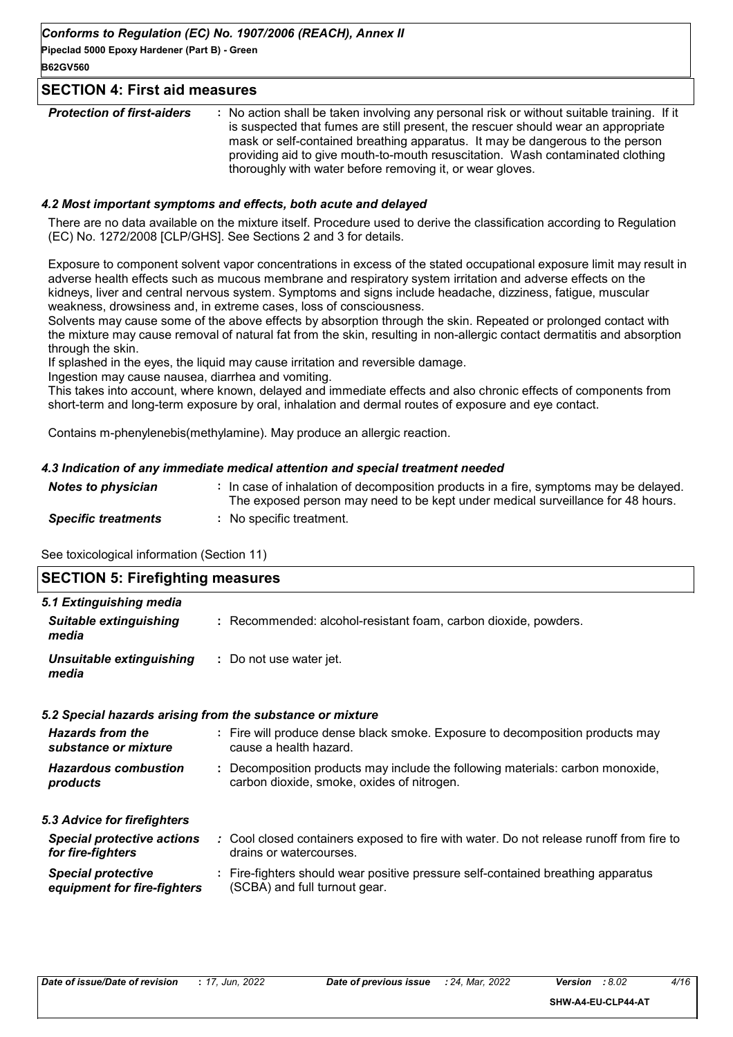#### **SECTION 4: First aid measures**

| <b>Protection of first-aiders</b> | : No action shall be taken involving any personal risk or without suitable training. If it<br>is suspected that fumes are still present, the rescuer should wear an appropriate<br>mask or self-contained breathing apparatus. It may be dangerous to the person<br>providing aid to give mouth-to-mouth resuscitation. Wash contaminated clothing<br>thoroughly with water before removing it, or wear gloves. |
|-----------------------------------|-----------------------------------------------------------------------------------------------------------------------------------------------------------------------------------------------------------------------------------------------------------------------------------------------------------------------------------------------------------------------------------------------------------------|
|                                   |                                                                                                                                                                                                                                                                                                                                                                                                                 |

#### *4.2 Most important symptoms and effects, both acute and delayed*

There are no data available on the mixture itself. Procedure used to derive the classification according to Regulation (EC) No. 1272/2008 [CLP/GHS]. See Sections 2 and 3 for details.

Exposure to component solvent vapor concentrations in excess of the stated occupational exposure limit may result in adverse health effects such as mucous membrane and respiratory system irritation and adverse effects on the kidneys, liver and central nervous system. Symptoms and signs include headache, dizziness, fatigue, muscular weakness, drowsiness and, in extreme cases, loss of consciousness.

Solvents may cause some of the above effects by absorption through the skin. Repeated or prolonged contact with the mixture may cause removal of natural fat from the skin, resulting in non-allergic contact dermatitis and absorption through the skin.

If splashed in the eyes, the liquid may cause irritation and reversible damage.

Ingestion may cause nausea, diarrhea and vomiting.

This takes into account, where known, delayed and immediate effects and also chronic effects of components from short-term and long-term exposure by oral, inhalation and dermal routes of exposure and eye contact.

Contains m-phenylenebis(methylamine). May produce an allergic reaction.

#### *4.3 Indication of any immediate medical attention and special treatment needed*

| <b>Notes to physician</b>  | : In case of inhalation of decomposition products in a fire, symptoms may be delayed.<br>The exposed person may need to be kept under medical surveillance for 48 hours. |
|----------------------------|--------------------------------------------------------------------------------------------------------------------------------------------------------------------------|
| <b>Specific treatments</b> | : No specific treatment.                                                                                                                                                 |

See toxicological information (Section 11)

| <b>SECTION 5: Firefighting measures</b>                           |                                                                                                                              |
|-------------------------------------------------------------------|------------------------------------------------------------------------------------------------------------------------------|
| 5.1 Extinguishing media<br><b>Suitable extinguishing</b><br>media | : Recommended: alcohol-resistant foam, carbon dioxide, powders.                                                              |
| Unsuitable extinguishing<br>media                                 | : Do not use water jet.                                                                                                      |
|                                                                   | 5.2 Special hazards arising from the substance or mixture                                                                    |
| <b>Hazards from the</b><br>substance or mixture                   | : Fire will produce dense black smoke. Exposure to decomposition products may<br>cause a health hazard.                      |
| <b>Hazardous combustion</b><br>products                           | : Decomposition products may include the following materials: carbon monoxide,<br>carbon dioxide, smoke, oxides of nitrogen. |
| 5.3 Advice for firefighters                                       |                                                                                                                              |
| <b>Special protective actions</b><br>for fire-fighters            | : Cool closed containers exposed to fire with water. Do not release runoff from fire to<br>drains or watercourses.           |
| <b>Special protective</b><br>equipment for fire-fighters          | : Fire-fighters should wear positive pressure self-contained breathing apparatus<br>(SCBA) and full turnout gear.            |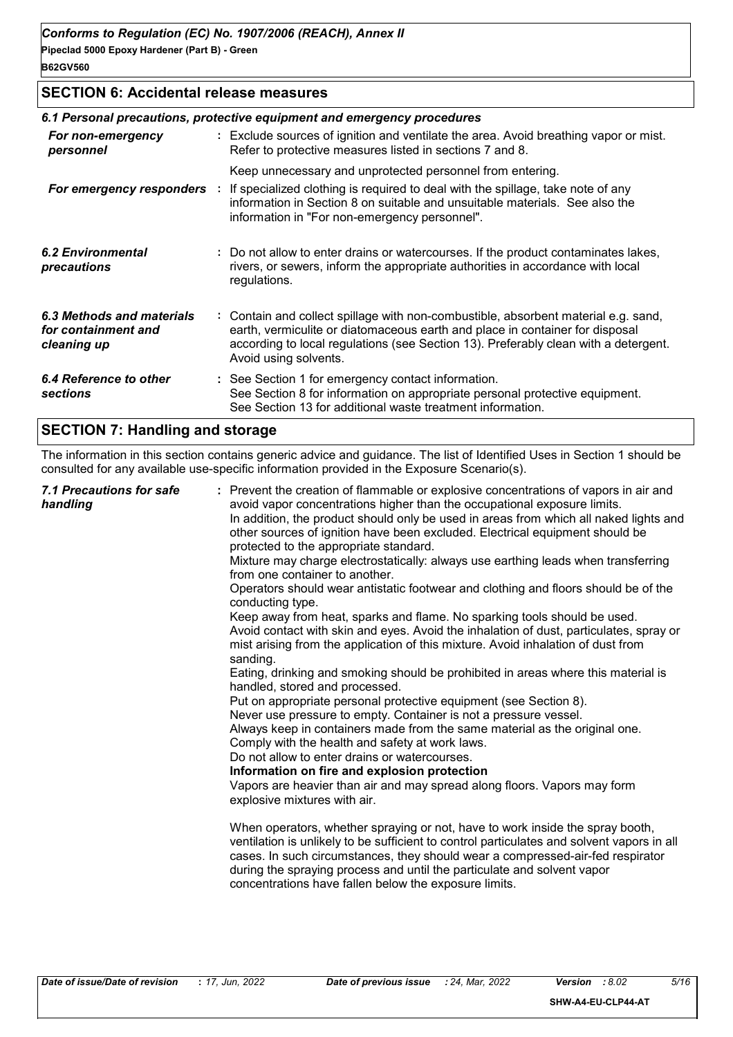#### **SECTION 6: Accidental release measures**

|                                                                 | 6.1 Personal precautions, protective equipment and emergency procedures                                                                                                                                                                                                            |
|-----------------------------------------------------------------|------------------------------------------------------------------------------------------------------------------------------------------------------------------------------------------------------------------------------------------------------------------------------------|
| For non-emergency<br>personnel                                  | : Exclude sources of ignition and ventilate the area. Avoid breathing vapor or mist.<br>Refer to protective measures listed in sections 7 and 8.                                                                                                                                   |
|                                                                 | Keep unnecessary and unprotected personnel from entering.                                                                                                                                                                                                                          |
| For emergency responders :                                      | If specialized clothing is required to deal with the spillage, take note of any<br>information in Section 8 on suitable and unsuitable materials. See also the<br>information in "For non-emergency personnel".                                                                    |
| 6.2 Environmental<br>precautions                                | : Do not allow to enter drains or watercourses. If the product contaminates lakes,<br>rivers, or sewers, inform the appropriate authorities in accordance with local<br>regulations.                                                                                               |
| 6.3 Methods and materials<br>for containment and<br>cleaning up | : Contain and collect spillage with non-combustible, absorbent material e.g. sand,<br>earth, vermiculite or diatomaceous earth and place in container for disposal<br>according to local regulations (see Section 13). Preferably clean with a detergent.<br>Avoid using solvents. |
| 6.4 Reference to other<br>sections                              | : See Section 1 for emergency contact information.<br>See Section 8 for information on appropriate personal protective equipment.<br>See Section 13 for additional waste treatment information.                                                                                    |
|                                                                 |                                                                                                                                                                                                                                                                                    |

### **SECTION 7: Handling and storage**

The information in this section contains generic advice and guidance. The list of Identified Uses in Section 1 should be consulted for any available use-specific information provided in the Exposure Scenario(s).

|  | 7.1 Precautions for safe<br>handling | : Prevent the creation of flammable or explosive concentrations of vapors in air and<br>avoid vapor concentrations higher than the occupational exposure limits.<br>In addition, the product should only be used in areas from which all naked lights and<br>other sources of ignition have been excluded. Electrical equipment should be<br>protected to the appropriate standard.<br>Mixture may charge electrostatically: always use earthing leads when transferring<br>from one container to another.<br>Operators should wear antistatic footwear and clothing and floors should be of the<br>conducting type.<br>Keep away from heat, sparks and flame. No sparking tools should be used.<br>Avoid contact with skin and eyes. Avoid the inhalation of dust, particulates, spray or<br>mist arising from the application of this mixture. Avoid inhalation of dust from<br>sanding.<br>Eating, drinking and smoking should be prohibited in areas where this material is<br>handled, stored and processed.<br>Put on appropriate personal protective equipment (see Section 8).<br>Never use pressure to empty. Container is not a pressure vessel.<br>Always keep in containers made from the same material as the original one.<br>Comply with the health and safety at work laws.<br>Do not allow to enter drains or watercourses.<br>Information on fire and explosion protection<br>Vapors are heavier than air and may spread along floors. Vapors may form<br>explosive mixtures with air.<br>When operators, whether spraying or not, have to work inside the spray booth,<br>ventilation is unlikely to be sufficient to control particulates and solvent vapors in all<br>cases. In such circumstances, they should wear a compressed-air-fed respirator<br>during the spraying process and until the particulate and solvent vapor<br>concentrations have fallen below the exposure limits. |
|--|--------------------------------------|---------------------------------------------------------------------------------------------------------------------------------------------------------------------------------------------------------------------------------------------------------------------------------------------------------------------------------------------------------------------------------------------------------------------------------------------------------------------------------------------------------------------------------------------------------------------------------------------------------------------------------------------------------------------------------------------------------------------------------------------------------------------------------------------------------------------------------------------------------------------------------------------------------------------------------------------------------------------------------------------------------------------------------------------------------------------------------------------------------------------------------------------------------------------------------------------------------------------------------------------------------------------------------------------------------------------------------------------------------------------------------------------------------------------------------------------------------------------------------------------------------------------------------------------------------------------------------------------------------------------------------------------------------------------------------------------------------------------------------------------------------------------------------------------------------------------------------------------------------------------------------------------------------------|
|--|--------------------------------------|---------------------------------------------------------------------------------------------------------------------------------------------------------------------------------------------------------------------------------------------------------------------------------------------------------------------------------------------------------------------------------------------------------------------------------------------------------------------------------------------------------------------------------------------------------------------------------------------------------------------------------------------------------------------------------------------------------------------------------------------------------------------------------------------------------------------------------------------------------------------------------------------------------------------------------------------------------------------------------------------------------------------------------------------------------------------------------------------------------------------------------------------------------------------------------------------------------------------------------------------------------------------------------------------------------------------------------------------------------------------------------------------------------------------------------------------------------------------------------------------------------------------------------------------------------------------------------------------------------------------------------------------------------------------------------------------------------------------------------------------------------------------------------------------------------------------------------------------------------------------------------------------------------------|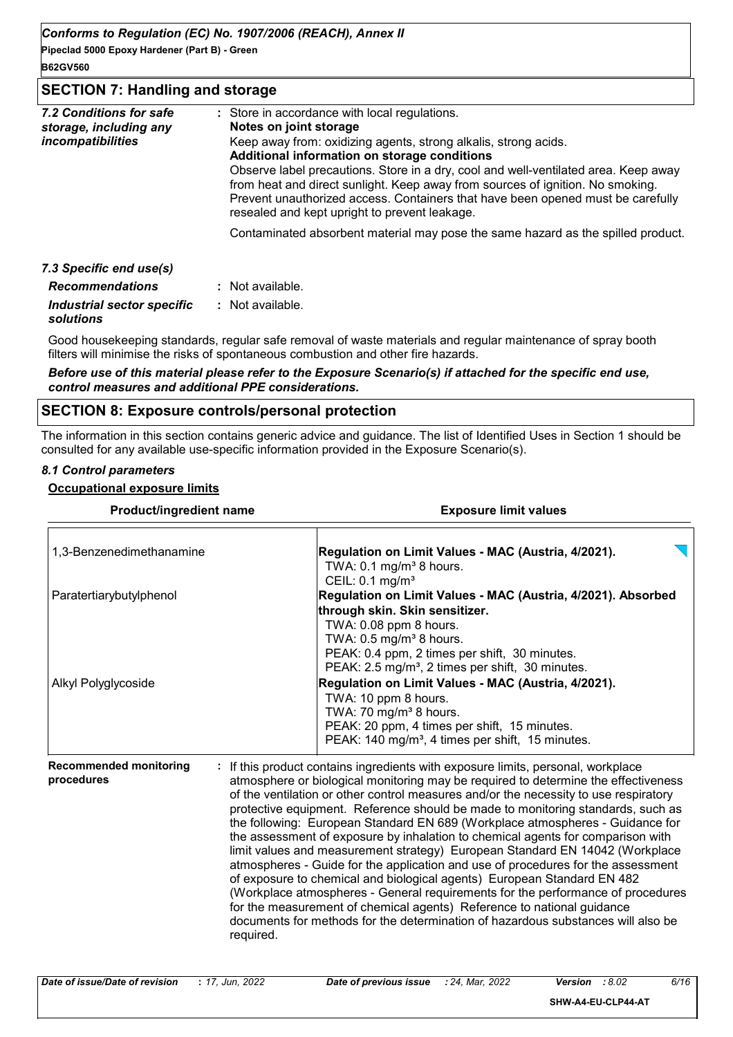#### **SECTION 7: Handling and storage**

| 7.2 Conditions for safe<br>storage, including any<br><i>incompatibilities</i> | : Store in accordance with local regulations.<br>Notes on joint storage<br>Keep away from: oxidizing agents, strong alkalis, strong acids.<br>Additional information on storage conditions<br>Observe label precautions. Store in a dry, cool and well-ventilated area. Keep away<br>from heat and direct sunlight. Keep away from sources of ignition. No smoking.<br>Prevent unauthorized access. Containers that have been opened must be carefully<br>resealed and kept upright to prevent leakage. |
|-------------------------------------------------------------------------------|---------------------------------------------------------------------------------------------------------------------------------------------------------------------------------------------------------------------------------------------------------------------------------------------------------------------------------------------------------------------------------------------------------------------------------------------------------------------------------------------------------|
|                                                                               | Contaminated absorbent material may pose the same hazard as the spilled product.                                                                                                                                                                                                                                                                                                                                                                                                                        |
| 7.3 Specific end use(s)                                                       |                                                                                                                                                                                                                                                                                                                                                                                                                                                                                                         |
| <b>Recommendations</b>                                                        | : Not available.                                                                                                                                                                                                                                                                                                                                                                                                                                                                                        |
|                                                                               |                                                                                                                                                                                                                                                                                                                                                                                                                                                                                                         |

*Industrial sector specific* **:** *solutions* : Not available.

Good housekeeping standards, regular safe removal of waste materials and regular maintenance of spray booth filters will minimise the risks of spontaneous combustion and other fire hazards.

*Before use of this material please refer to the Exposure Scenario(s) if attached for the specific end use, control measures and additional PPE considerations.*

#### **SECTION 8: Exposure controls/personal protection**

The information in this section contains generic advice and guidance. The list of Identified Uses in Section 1 should be consulted for any available use-specific information provided in the Exposure Scenario(s).

#### *8.1 Control parameters*

#### **Occupational exposure limits**

| Product/ingredient name                     | <b>Exposure limit values</b>                                                                                                                                                                                                                                                                                                                                                                                                                                                                                                                                                                                                                                                                                                                                                                                                                                                                                                                                                                                                     |
|---------------------------------------------|----------------------------------------------------------------------------------------------------------------------------------------------------------------------------------------------------------------------------------------------------------------------------------------------------------------------------------------------------------------------------------------------------------------------------------------------------------------------------------------------------------------------------------------------------------------------------------------------------------------------------------------------------------------------------------------------------------------------------------------------------------------------------------------------------------------------------------------------------------------------------------------------------------------------------------------------------------------------------------------------------------------------------------|
| 1,3-Benzenedimethanamine                    | Regulation on Limit Values - MAC (Austria, 4/2021).<br>TWA: $0.1 \text{ mg/m}^3$ 8 hours.<br>CEIL: $0.1$ mg/m <sup>3</sup>                                                                                                                                                                                                                                                                                                                                                                                                                                                                                                                                                                                                                                                                                                                                                                                                                                                                                                       |
| Paratertiarybutylphenol                     | Regulation on Limit Values - MAC (Austria, 4/2021). Absorbed<br>through skin. Skin sensitizer.<br>TWA: 0.08 ppm 8 hours.<br>TWA: $0.5$ mg/m <sup>3</sup> 8 hours.<br>PEAK: 0.4 ppm, 2 times per shift, 30 minutes.                                                                                                                                                                                                                                                                                                                                                                                                                                                                                                                                                                                                                                                                                                                                                                                                               |
| Alkyl Polyglycoside                         | PEAK: 2.5 mg/m <sup>3</sup> , 2 times per shift, 30 minutes.<br>Regulation on Limit Values - MAC (Austria, 4/2021).<br>TWA: 10 ppm 8 hours.<br>TWA: 70 mg/m <sup>3</sup> 8 hours.<br>PEAK: 20 ppm, 4 times per shift, 15 minutes.<br>PEAK: 140 mg/m <sup>3</sup> , 4 times per shift, 15 minutes.                                                                                                                                                                                                                                                                                                                                                                                                                                                                                                                                                                                                                                                                                                                                |
| <b>Recommended monitoring</b><br>procedures | If this product contains ingredients with exposure limits, personal, workplace<br>atmosphere or biological monitoring may be required to determine the effectiveness<br>of the ventilation or other control measures and/or the necessity to use respiratory<br>protective equipment. Reference should be made to monitoring standards, such as<br>the following: European Standard EN 689 (Workplace atmospheres - Guidance for<br>the assessment of exposure by inhalation to chemical agents for comparison with<br>limit values and measurement strategy) European Standard EN 14042 (Workplace<br>atmospheres - Guide for the application and use of procedures for the assessment<br>of exposure to chemical and biological agents) European Standard EN 482<br>(Workplace atmospheres - General requirements for the performance of procedures<br>for the measurement of chemical agents) Reference to national guidance<br>documents for methods for the determination of hazardous substances will also be<br>required. |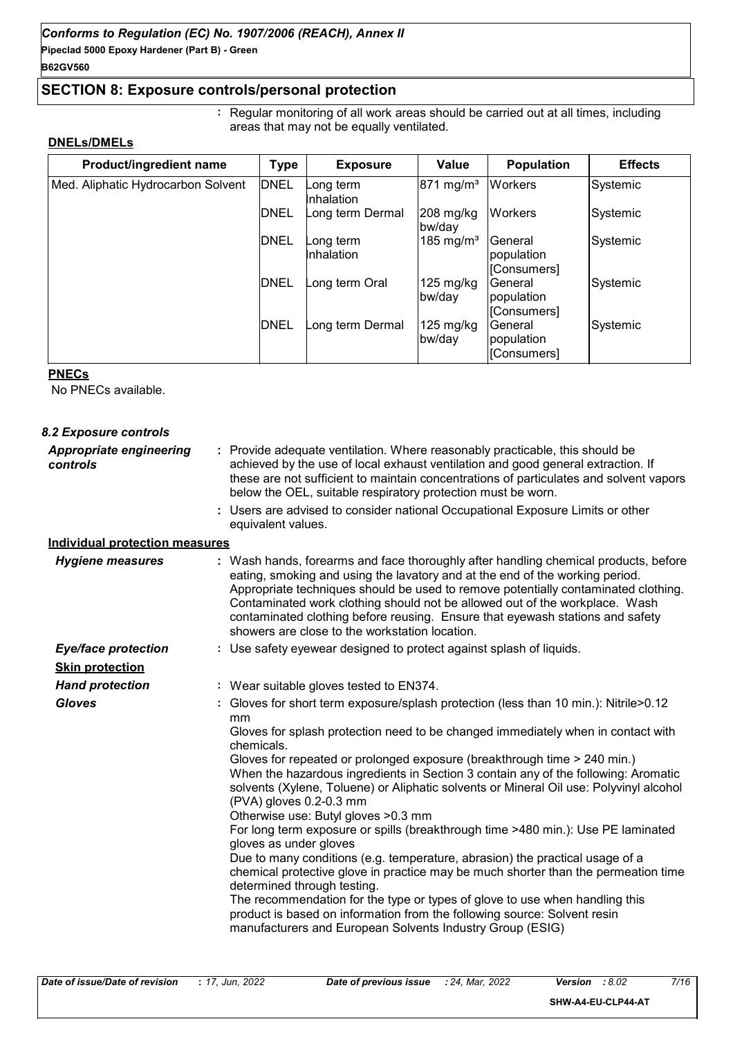### **SECTION 8: Exposure controls/personal protection**

**:** Regular monitoring of all work areas should be carried out at all times, including areas that may not be equally ventilated.

#### **DNELs/DMELs**

| Product/ingredient name            | <b>Type</b> | <b>Exposure</b>         | Value                         | <b>Population</b>                     | <b>Effects</b> |
|------------------------------------|-------------|-------------------------|-------------------------------|---------------------------------------|----------------|
| Med. Aliphatic Hydrocarbon Solvent | <b>DNEL</b> | Long term<br>Inhalation | $871 \text{ mg/m}^3$          | <b>Workers</b>                        | Systemic       |
|                                    | <b>DNEL</b> | Long term Dermal        | $208 \text{ mg/kg}$<br>bw/day | <b>Workers</b>                        | Systemic       |
|                                    | DNEL        | Long term<br>Inhalation | 185 mg/m <sup>3</sup>         | lGeneral<br>population<br>[Consumers] | Systemic       |
|                                    | <b>DNEL</b> | Long term Oral          | $125 \text{ mg/kg}$<br>bw/day | General<br>population<br> [Consumers] | Systemic       |
|                                    | <b>DNEL</b> | Long term Dermal        | $125 \text{ mg/kg}$<br>bw/day | General<br>population<br>[Consumers]  | Systemic       |

#### **PNECs**

No PNECs available.

| 8.2 Exposure controls                      |                                                                                                                                                                                                                                                                                                                                                                                                                                                                                                                                                                                                                                                                                                                                                                                                                                                                                                                                                                                                                                                                        |
|--------------------------------------------|------------------------------------------------------------------------------------------------------------------------------------------------------------------------------------------------------------------------------------------------------------------------------------------------------------------------------------------------------------------------------------------------------------------------------------------------------------------------------------------------------------------------------------------------------------------------------------------------------------------------------------------------------------------------------------------------------------------------------------------------------------------------------------------------------------------------------------------------------------------------------------------------------------------------------------------------------------------------------------------------------------------------------------------------------------------------|
| <b>Appropriate engineering</b><br>controls | : Provide adequate ventilation. Where reasonably practicable, this should be<br>achieved by the use of local exhaust ventilation and good general extraction. If<br>these are not sufficient to maintain concentrations of particulates and solvent vapors<br>below the OEL, suitable respiratory protection must be worn.                                                                                                                                                                                                                                                                                                                                                                                                                                                                                                                                                                                                                                                                                                                                             |
|                                            | : Users are advised to consider national Occupational Exposure Limits or other<br>equivalent values.                                                                                                                                                                                                                                                                                                                                                                                                                                                                                                                                                                                                                                                                                                                                                                                                                                                                                                                                                                   |
| <b>Individual protection measures</b>      |                                                                                                                                                                                                                                                                                                                                                                                                                                                                                                                                                                                                                                                                                                                                                                                                                                                                                                                                                                                                                                                                        |
| <b>Hygiene measures</b>                    | : Wash hands, forearms and face thoroughly after handling chemical products, before<br>eating, smoking and using the lavatory and at the end of the working period.<br>Appropriate techniques should be used to remove potentially contaminated clothing.<br>Contaminated work clothing should not be allowed out of the workplace. Wash<br>contaminated clothing before reusing. Ensure that eyewash stations and safety<br>showers are close to the workstation location.                                                                                                                                                                                                                                                                                                                                                                                                                                                                                                                                                                                            |
| <b>Eye/face protection</b>                 | : Use safety eyewear designed to protect against splash of liquids.                                                                                                                                                                                                                                                                                                                                                                                                                                                                                                                                                                                                                                                                                                                                                                                                                                                                                                                                                                                                    |
| <b>Skin protection</b>                     |                                                                                                                                                                                                                                                                                                                                                                                                                                                                                                                                                                                                                                                                                                                                                                                                                                                                                                                                                                                                                                                                        |
| <b>Hand protection</b>                     | : Wear suitable gloves tested to EN374.                                                                                                                                                                                                                                                                                                                                                                                                                                                                                                                                                                                                                                                                                                                                                                                                                                                                                                                                                                                                                                |
| <b>Gloves</b>                              | : Gloves for short term exposure/splash protection (less than 10 min.): Nitrile>0.12<br>mm<br>Gloves for splash protection need to be changed immediately when in contact with<br>chemicals.<br>Gloves for repeated or prolonged exposure (breakthrough time > 240 min.)<br>When the hazardous ingredients in Section 3 contain any of the following: Aromatic<br>solvents (Xylene, Toluene) or Aliphatic solvents or Mineral Oil use: Polyvinyl alcohol<br>(PVA) gloves 0.2-0.3 mm<br>Otherwise use: Butyl gloves > 0.3 mm<br>For long term exposure or spills (breakthrough time >480 min.): Use PE laminated<br>gloves as under gloves<br>Due to many conditions (e.g. temperature, abrasion) the practical usage of a<br>chemical protective glove in practice may be much shorter than the permeation time<br>determined through testing.<br>The recommendation for the type or types of glove to use when handling this<br>product is based on information from the following source: Solvent resin<br>manufacturers and European Solvents Industry Group (ESIG) |
|                                            |                                                                                                                                                                                                                                                                                                                                                                                                                                                                                                                                                                                                                                                                                                                                                                                                                                                                                                                                                                                                                                                                        |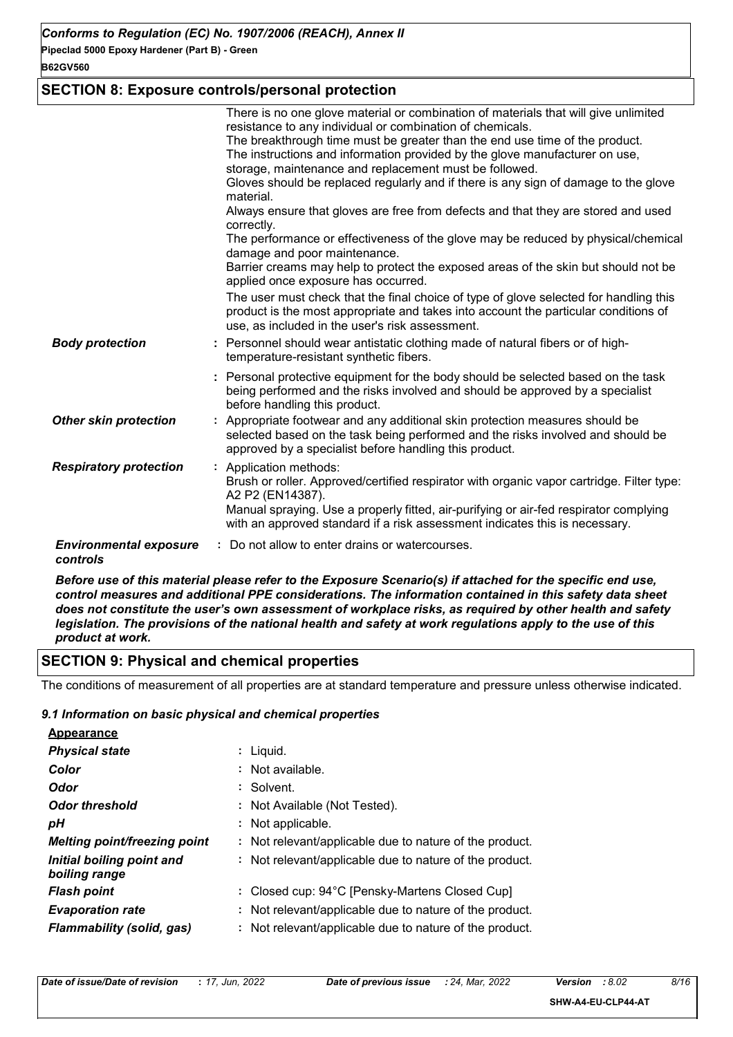#### **B62GV560**

### **SECTION 8: Exposure controls/personal protection**

|                                           | There is no one glove material or combination of materials that will give unlimited<br>resistance to any individual or combination of chemicals.<br>The breakthrough time must be greater than the end use time of the product.<br>The instructions and information provided by the glove manufacturer on use,<br>storage, maintenance and replacement must be followed.<br>Gloves should be replaced regularly and if there is any sign of damage to the glove<br>material.<br>Always ensure that gloves are free from defects and that they are stored and used<br>correctly.<br>The performance or effectiveness of the glove may be reduced by physical/chemical<br>damage and poor maintenance.<br>Barrier creams may help to protect the exposed areas of the skin but should not be<br>applied once exposure has occurred. |
|-------------------------------------------|-----------------------------------------------------------------------------------------------------------------------------------------------------------------------------------------------------------------------------------------------------------------------------------------------------------------------------------------------------------------------------------------------------------------------------------------------------------------------------------------------------------------------------------------------------------------------------------------------------------------------------------------------------------------------------------------------------------------------------------------------------------------------------------------------------------------------------------|
|                                           | The user must check that the final choice of type of glove selected for handling this<br>product is the most appropriate and takes into account the particular conditions of<br>use, as included in the user's risk assessment.                                                                                                                                                                                                                                                                                                                                                                                                                                                                                                                                                                                                   |
| <b>Body protection</b>                    | : Personnel should wear antistatic clothing made of natural fibers or of high-<br>temperature-resistant synthetic fibers.                                                                                                                                                                                                                                                                                                                                                                                                                                                                                                                                                                                                                                                                                                         |
|                                           | : Personal protective equipment for the body should be selected based on the task<br>being performed and the risks involved and should be approved by a specialist<br>before handling this product.                                                                                                                                                                                                                                                                                                                                                                                                                                                                                                                                                                                                                               |
| <b>Other skin protection</b>              | : Appropriate footwear and any additional skin protection measures should be<br>selected based on the task being performed and the risks involved and should be<br>approved by a specialist before handling this product.                                                                                                                                                                                                                                                                                                                                                                                                                                                                                                                                                                                                         |
| <b>Respiratory protection</b>             | : Application methods:<br>Brush or roller. Approved/certified respirator with organic vapor cartridge. Filter type:<br>A2 P2 (EN14387).<br>Manual spraying. Use a properly fitted, air-purifying or air-fed respirator complying<br>with an approved standard if a risk assessment indicates this is necessary.                                                                                                                                                                                                                                                                                                                                                                                                                                                                                                                   |
| <b>Environmental exposure</b><br>controls | Do not allow to enter drains or watercourses.                                                                                                                                                                                                                                                                                                                                                                                                                                                                                                                                                                                                                                                                                                                                                                                     |

*Before use of this material please refer to the Exposure Scenario(s) if attached for the specific end use, control measures and additional PPE considerations. The information contained in this safety data sheet does not constitute the user's own assessment of workplace risks, as required by other health and safety legislation. The provisions of the national health and safety at work regulations apply to the use of this product at work.*

### **SECTION 9: Physical and chemical properties**

The conditions of measurement of all properties are at standard temperature and pressure unless otherwise indicated.

#### *9.1 Information on basic physical and chemical properties*

| <b>Appearance</b>                          |                                                         |
|--------------------------------------------|---------------------------------------------------------|
| <b>Physical state</b>                      | $:$ Liquid.                                             |
| Color                                      | : Not available.                                        |
| Odor                                       | : Solvent.                                              |
| <b>Odor threshold</b>                      | : Not Available (Not Tested).                           |
| pН                                         | : Not applicable.                                       |
| <b>Melting point/freezing point</b>        | : Not relevant/applicable due to nature of the product. |
| Initial boiling point and<br>boiling range | : Not relevant/applicable due to nature of the product. |
| <b>Flash point</b>                         | : Closed cup: 94°C [Pensky-Martens Closed Cup]          |
| <b>Evaporation rate</b>                    | : Not relevant/applicable due to nature of the product. |
| Flammability (solid, gas)                  | : Not relevant/applicable due to nature of the product. |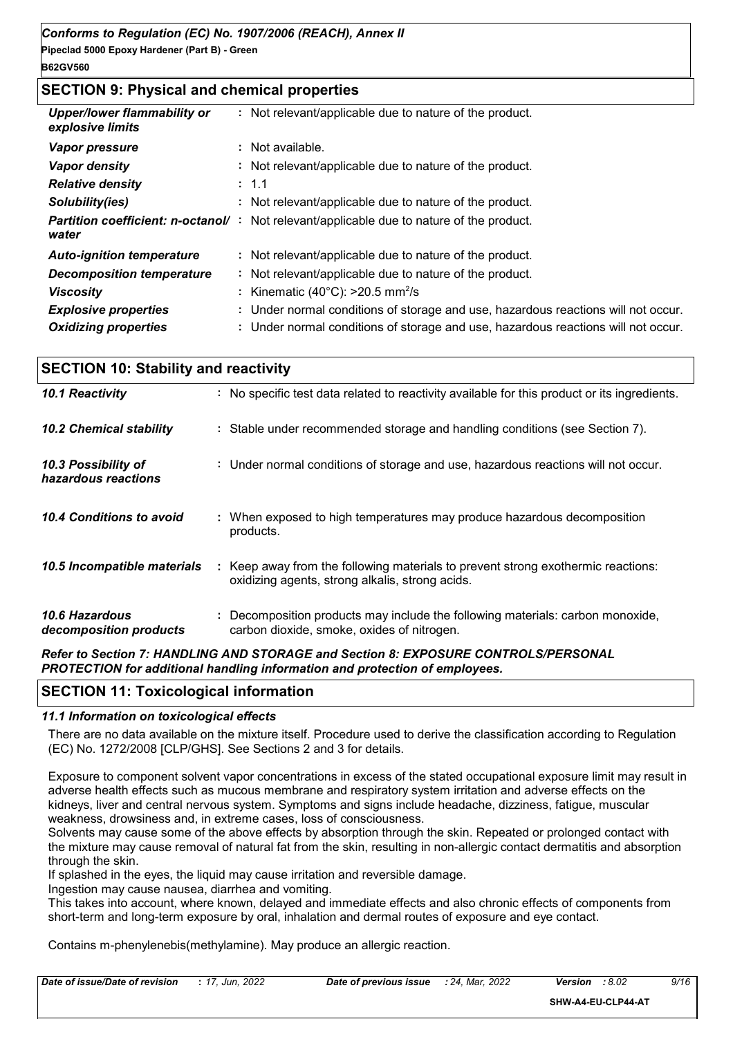### **SECTION 9: Physical and chemical properties**

| <b>Upper/lower flammability or</b><br>explosive limits | : Not relevant/applicable due to nature of the product.                                          |
|--------------------------------------------------------|--------------------------------------------------------------------------------------------------|
| Vapor pressure                                         | : Not available.                                                                                 |
| <b>Vapor density</b>                                   | : Not relevant/applicable due to nature of the product.                                          |
| <b>Relative density</b>                                | : 1.1                                                                                            |
| Solubility(ies)                                        | : Not relevant/applicable due to nature of the product.                                          |
| water                                                  | <b>Partition coefficient: n-octanol/</b> : Not relevant/applicable due to nature of the product. |
| <b>Auto-ignition temperature</b>                       | : Not relevant/applicable due to nature of the product.                                          |
| <b>Decomposition temperature</b>                       | : Not relevant/applicable due to nature of the product.                                          |
| <b>Viscosity</b>                                       | : Kinematic (40 $^{\circ}$ C): >20.5 mm <sup>2</sup> /s                                          |
| <b>Explosive properties</b>                            | : Under normal conditions of storage and use, hazardous reactions will not occur.                |
| <b>Oxidizing properties</b>                            | : Under normal conditions of storage and use, hazardous reactions will not occur.                |

| <b>SECTION 10: Stability and reactivity</b> |                                                                                                                                     |  |  |
|---------------------------------------------|-------------------------------------------------------------------------------------------------------------------------------------|--|--|
| 10.1 Reactivity                             | : No specific test data related to reactivity available for this product or its ingredients.                                        |  |  |
| <b>10.2 Chemical stability</b>              | : Stable under recommended storage and handling conditions (see Section 7).                                                         |  |  |
| 10.3 Possibility of<br>hazardous reactions  | : Under normal conditions of storage and use, hazardous reactions will not occur.                                                   |  |  |
| 10.4 Conditions to avoid                    | : When exposed to high temperatures may produce hazardous decomposition<br>products.                                                |  |  |
| 10.5 Incompatible materials                 | : Keep away from the following materials to prevent strong exothermic reactions:<br>oxidizing agents, strong alkalis, strong acids. |  |  |
| 10.6 Hazardous<br>decomposition products    | : Decomposition products may include the following materials: carbon monoxide,<br>carbon dioxide, smoke, oxides of nitrogen.        |  |  |
|                                             | Refer to Section 7: HANDLING AND STORAGE and Section 8: EXPOSURE CONTROLS/PERSONAL                                                  |  |  |

*Refer to Section 7: HANDLING AND STORAGE and Section 8: EXPOSURE CONTROLS/PERSONAL PROTECTION for additional handling information and protection of employees.*

#### **SECTION 11: Toxicological information**

#### *11.1 Information on toxicological effects*

There are no data available on the mixture itself. Procedure used to derive the classification according to Regulation (EC) No. 1272/2008 [CLP/GHS]. See Sections 2 and 3 for details.

Exposure to component solvent vapor concentrations in excess of the stated occupational exposure limit may result in adverse health effects such as mucous membrane and respiratory system irritation and adverse effects on the kidneys, liver and central nervous system. Symptoms and signs include headache, dizziness, fatigue, muscular weakness, drowsiness and, in extreme cases, loss of consciousness.

Solvents may cause some of the above effects by absorption through the skin. Repeated or prolonged contact with the mixture may cause removal of natural fat from the skin, resulting in non-allergic contact dermatitis and absorption through the skin.

If splashed in the eyes, the liquid may cause irritation and reversible damage.

Ingestion may cause nausea, diarrhea and vomiting.

This takes into account, where known, delayed and immediate effects and also chronic effects of components from short-term and long-term exposure by oral, inhalation and dermal routes of exposure and eye contact.

Contains m-phenylenebis(methylamine). May produce an allergic reaction.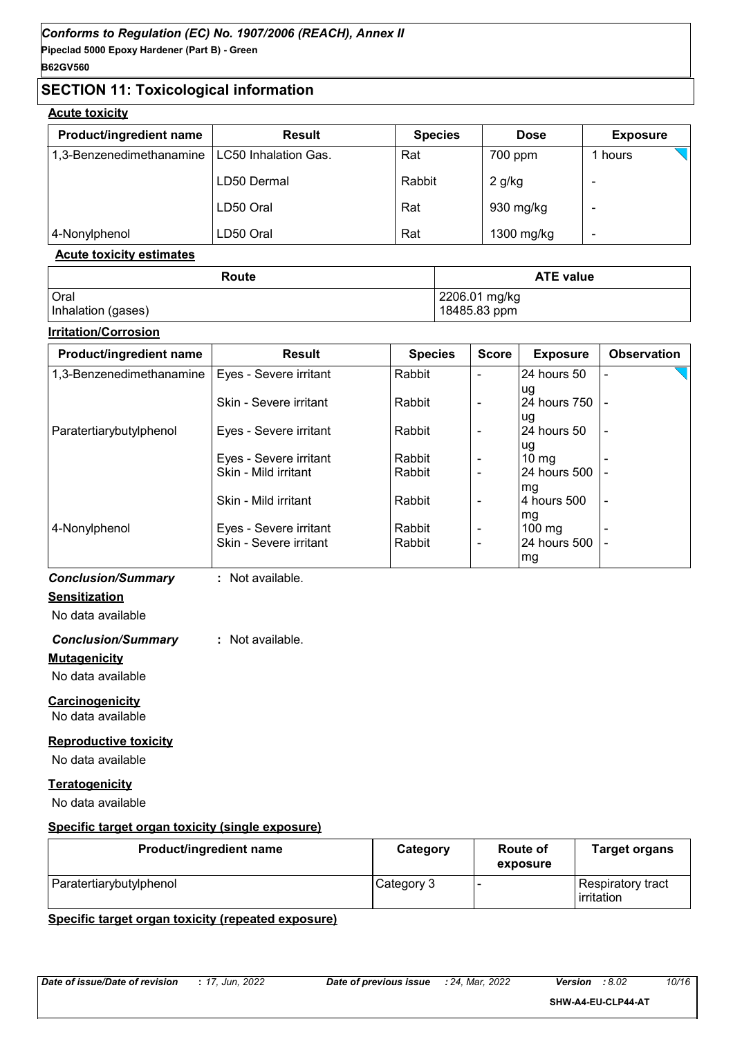### **SECTION 11: Toxicological information**

#### **Acute toxicity**

| <b>Product/ingredient name</b> | <b>Result</b>        | <b>Species</b> | <b>Dose</b> | <b>Exposure</b> |
|--------------------------------|----------------------|----------------|-------------|-----------------|
| 1,3-Benzenedimethanamine       | LC50 Inhalation Gas. | Rat            | 700 ppm     | hours           |
|                                | LD50 Dermal          | Rabbit         | $2$ g/kg    |                 |
|                                | LD50 Oral            | Rat            | 930 mg/kg   |                 |
| 4-Nonylphenol                  | LD50 Oral            | Rat            | 1300 mg/kg  |                 |

#### **Acute toxicity estimates**

| Route              | <b>ATE value</b> |
|--------------------|------------------|
| Oral               | 2206.01 mg/kg    |
| Inhalation (gases) | 18485.83 ppm     |

#### **Irritation/Corrosion**

| Product/ingredient name  | <b>Result</b>          | <b>Species</b> | <b>Score</b>   | <b>Exposure</b>  | <b>Observation</b> |
|--------------------------|------------------------|----------------|----------------|------------------|--------------------|
| 1,3-Benzenedimethanamine | Eyes - Severe irritant | Rabbit         |                | l24 hours 50     |                    |
|                          |                        |                |                | lug              |                    |
|                          | Skin - Severe irritant | Rabbit         |                | 24 hours 750   - |                    |
|                          |                        |                |                | lug              |                    |
| Paratertiarybutylphenol  | Eyes - Severe irritant | Rabbit         | $\blacksquare$ | l24 hours 50     |                    |
|                          |                        |                |                | lug              |                    |
|                          | Eyes - Severe irritant | Rabbit         | $\blacksquare$ | $10 \text{ mg}$  |                    |
|                          | Skin - Mild irritant   | Rabbit         |                | 24 hours 500     |                    |
|                          |                        |                |                | mg               |                    |
|                          | Skin - Mild irritant   | Rabbit         | $\blacksquare$ | 4 hours 500      |                    |
|                          |                        |                |                | mg               |                    |
| 4-Nonylphenol            | Eyes - Severe irritant | Rabbit         | $\blacksquare$ | 100 mg           |                    |
|                          | Skin - Severe irritant | Rabbit         | $\blacksquare$ | 24 hours 500     |                    |
|                          |                        |                |                | mg               |                    |

#### *Conclusion/Summary* **:** Not available.

**Sensitization**

### No data available

### *Conclusion/Summary* **:** Not available.

**Mutagenicity**

No data available

#### **Carcinogenicity**

No data available

#### **Reproductive toxicity**

No data available

#### **Teratogenicity**

No data available

#### **Specific target organ toxicity (single exposure)**

| <b>Product/ingredient name</b> | Category   | Route of<br>exposure | <b>Target organs</b>                     |
|--------------------------------|------------|----------------------|------------------------------------------|
| Paratertiarybutylphenol        | Category 3 |                      | Respiratory tract<br><b>l</b> irritation |

#### **Specific target organ toxicity (repeated exposure)**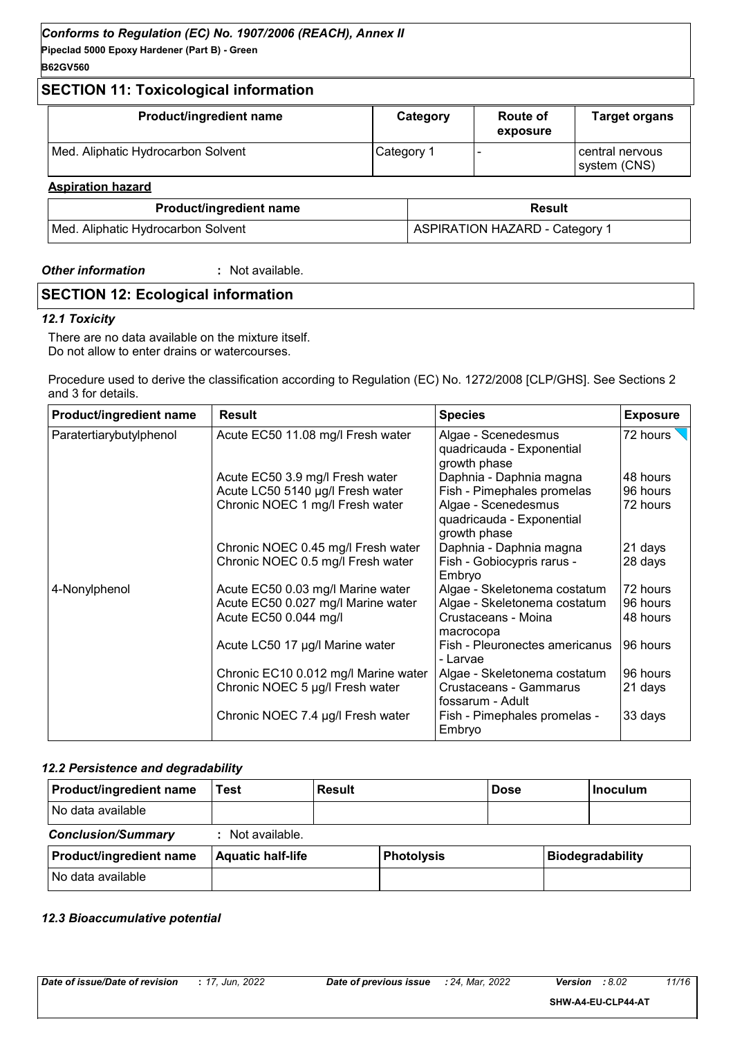### **SECTION 11: Toxicological information**

| Product/ingredient name            | Category   | <b>Route of</b><br>exposure | <b>Target organs</b>              |
|------------------------------------|------------|-----------------------------|-----------------------------------|
| Med. Aliphatic Hydrocarbon Solvent | Category 1 |                             | l central nervous<br>system (CNS) |
| <b>Aspiration hazard</b>           |            |                             |                                   |

| <b>Product/ingredient name</b>     | Result                                |
|------------------------------------|---------------------------------------|
| Med. Aliphatic Hydrocarbon Solvent | <b>ASPIRATION HAZARD - Category 1</b> |

#### *Other information* **:**

: Not available.

### **SECTION 12: Ecological information**

#### *12.1 Toxicity*

There are no data available on the mixture itself. Do not allow to enter drains or watercourses.

Procedure used to derive the classification according to Regulation (EC) No. 1272/2008 [CLP/GHS]. See Sections 2 and 3 for details.

| Product/ingredient name | <b>Result</b>                        | <b>Species</b>                                                   | <b>Exposure</b> |
|-------------------------|--------------------------------------|------------------------------------------------------------------|-----------------|
| Paratertiarybutylphenol | Acute EC50 11.08 mg/l Fresh water    | Algae - Scenedesmus<br>quadricauda - Exponential<br>growth phase | 72 hours        |
|                         | Acute EC50 3.9 mg/l Fresh water      | Daphnia - Daphnia magna                                          | 48 hours        |
|                         | Acute LC50 5140 µg/l Fresh water     | Fish - Pimephales promelas                                       | 96 hours        |
|                         | Chronic NOEC 1 mg/l Fresh water      | Algae - Scenedesmus<br>quadricauda - Exponential<br>growth phase | 72 hours        |
|                         | Chronic NOEC 0.45 mg/l Fresh water   | Daphnia - Daphnia magna                                          | 21 days         |
|                         | Chronic NOEC 0.5 mg/l Fresh water    | Fish - Gobiocypris rarus -<br>Embryo                             | 28 days         |
| 4-Nonylphenol           | Acute EC50 0.03 mg/l Marine water    | Algae - Skeletonema costatum                                     | 72 hours        |
|                         | Acute EC50 0.027 mg/l Marine water   | Algae - Skeletonema costatum                                     | 96 hours        |
|                         | Acute EC50 0.044 mg/l                | Crustaceans - Moina<br>macrocopa                                 | 48 hours        |
|                         | Acute LC50 17 µg/l Marine water      | Fish - Pleuronectes americanus<br>- Larvae                       | 96 hours        |
|                         | Chronic EC10 0.012 mg/l Marine water | Algae - Skeletonema costatum                                     | 96 hours        |
|                         | Chronic NOEC 5 µg/l Fresh water      | Crustaceans - Gammarus<br>fossarum - Adult                       | 21 days         |
|                         | Chronic NOEC 7.4 µg/l Fresh water    | Fish - Pimephales promelas -<br>Embryo                           | 33 days         |

#### *12.2 Persistence and degradability*

| <b>Product/ingredient name</b> | Test                     | <b>Result</b> |                   | <b>Dose</b> | <b>Inoculum</b>         |
|--------------------------------|--------------------------|---------------|-------------------|-------------|-------------------------|
| No data available              |                          |               |                   |             |                         |
| <b>Conclusion/Summary</b>      | : Not available.         |               |                   |             |                         |
| Product/ingredient name        | <b>Aquatic half-life</b> |               | <b>Photolysis</b> |             | <b>Biodegradability</b> |
| No data available              |                          |               |                   |             |                         |

#### *12.3 Bioaccumulative potential*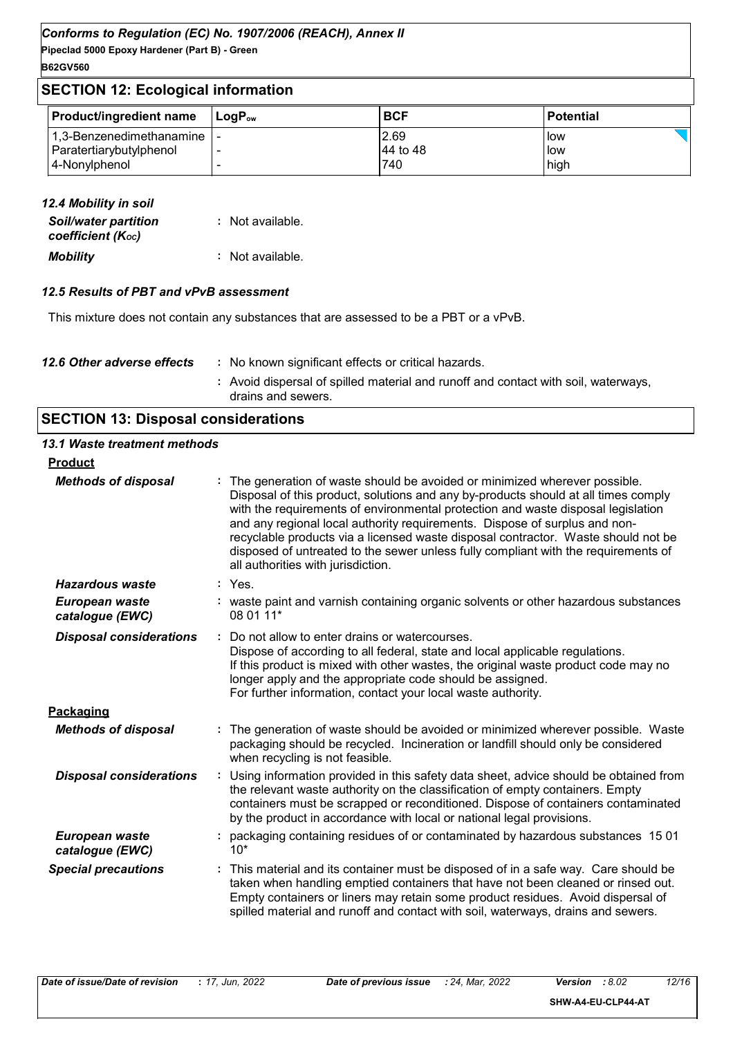### **SECTION 12: Ecological information**

| <b>Product/ingredient name</b> | <b>⊥Lo</b> aP <sub>ow</sub> | <b>BCF</b> | <b>Potential</b> |
|--------------------------------|-----------------------------|------------|------------------|
| 1,3-Benzenedimethanamine       |                             | 2.69       | low              |
| Paratertiarybutylphenol        |                             | 44 to 48   | low              |
| 4-Nonylphenol                  |                             | 740        | high             |

| 12.4 Mobility in soil                            |                  |
|--------------------------------------------------|------------------|
| <b>Soil/water partition</b><br>coefficient (Koc) | : Not available. |
| <b>Mobility</b>                                  | : Not available. |

#### *12.5 Results of PBT and vPvB assessment*

This mixture does not contain any substances that are assessed to be a PBT or a vPvB.

| 12.6 Other adverse effects | : No known significant effects or critical hazards.                                                      |
|----------------------------|----------------------------------------------------------------------------------------------------------|
|                            | : Avoid dispersal of spilled material and runoff and contact with soil, waterways,<br>drains and sewers. |

## **SECTION 13: Disposal considerations**

| 13.1 Waste treatment methods      |                                                                                                                                                                                                                                                                                                                                                                                                                                                                                                                                                      |
|-----------------------------------|------------------------------------------------------------------------------------------------------------------------------------------------------------------------------------------------------------------------------------------------------------------------------------------------------------------------------------------------------------------------------------------------------------------------------------------------------------------------------------------------------------------------------------------------------|
| <b>Product</b>                    |                                                                                                                                                                                                                                                                                                                                                                                                                                                                                                                                                      |
| <b>Methods of disposal</b>        | : The generation of waste should be avoided or minimized wherever possible.<br>Disposal of this product, solutions and any by-products should at all times comply<br>with the requirements of environmental protection and waste disposal legislation<br>and any regional local authority requirements. Dispose of surplus and non-<br>recyclable products via a licensed waste disposal contractor. Waste should not be<br>disposed of untreated to the sewer unless fully compliant with the requirements of<br>all authorities with jurisdiction. |
| <b>Hazardous waste</b>            | $:$ Yes.                                                                                                                                                                                                                                                                                                                                                                                                                                                                                                                                             |
| European waste<br>catalogue (EWC) | : waste paint and varnish containing organic solvents or other hazardous substances<br>08 01 11*                                                                                                                                                                                                                                                                                                                                                                                                                                                     |
| <b>Disposal considerations</b>    | : Do not allow to enter drains or watercourses.<br>Dispose of according to all federal, state and local applicable regulations.<br>If this product is mixed with other wastes, the original waste product code may no<br>longer apply and the appropriate code should be assigned.<br>For further information, contact your local waste authority.                                                                                                                                                                                                   |
| Packaging                         |                                                                                                                                                                                                                                                                                                                                                                                                                                                                                                                                                      |
| <b>Methods of disposal</b>        | : The generation of waste should be avoided or minimized wherever possible. Waste<br>packaging should be recycled. Incineration or landfill should only be considered<br>when recycling is not feasible.                                                                                                                                                                                                                                                                                                                                             |
| <b>Disposal considerations</b>    | : Using information provided in this safety data sheet, advice should be obtained from<br>the relevant waste authority on the classification of empty containers. Empty<br>containers must be scrapped or reconditioned. Dispose of containers contaminated<br>by the product in accordance with local or national legal provisions.                                                                                                                                                                                                                 |
| European waste<br>catalogue (EWC) | packaging containing residues of or contaminated by hazardous substances 15 01<br>$10*$                                                                                                                                                                                                                                                                                                                                                                                                                                                              |
| <b>Special precautions</b>        | : This material and its container must be disposed of in a safe way. Care should be<br>taken when handling emptied containers that have not been cleaned or rinsed out.<br>Empty containers or liners may retain some product residues. Avoid dispersal of<br>spilled material and runoff and contact with soil, waterways, drains and sewers.                                                                                                                                                                                                       |
|                                   |                                                                                                                                                                                                                                                                                                                                                                                                                                                                                                                                                      |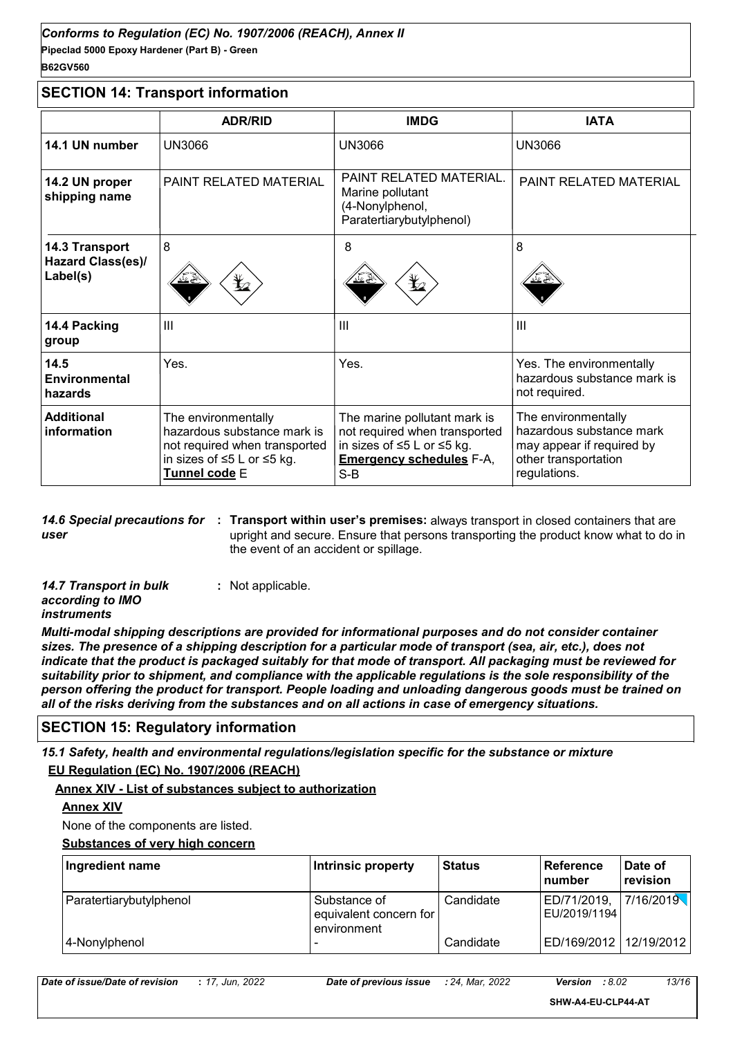#### **Pipeclad 5000 Epoxy Hardener (Part B) - Green** *Conforms to Regulation (EC) No. 1907/2006 (REACH), Annex II* **B62GV560**

#### **SECTION 14: Transport information**

|                                         | <b>ADR/RID</b>                                                                                                                     | <b>IMDG</b>                                                                                                                             | <b>IATA</b>                                                                                                          |
|-----------------------------------------|------------------------------------------------------------------------------------------------------------------------------------|-----------------------------------------------------------------------------------------------------------------------------------------|----------------------------------------------------------------------------------------------------------------------|
| 14.1 UN number                          | <b>UN3066</b>                                                                                                                      | <b>UN3066</b>                                                                                                                           | <b>UN3066</b>                                                                                                        |
| 14.2 UN proper<br>shipping name         | <b>PAINT RELATED MATERIAL</b>                                                                                                      | PAINT RELATED MATERIAL.<br>Marine pollutant<br>(4-Nonylphenol,<br>Paratertiarybutylphenol)                                              | PAINT RELATED MATERIAL                                                                                               |
| 14.3 Transport                          | $\boldsymbol{8}$                                                                                                                   | 8                                                                                                                                       | 8                                                                                                                    |
| Hazard Class(es)/<br>Label(s)           | ⋭                                                                                                                                  |                                                                                                                                         |                                                                                                                      |
| 14.4 Packing<br>group                   | III                                                                                                                                | III                                                                                                                                     | III                                                                                                                  |
| 14.5<br><b>Environmental</b><br>hazards | Yes.                                                                                                                               | Yes.                                                                                                                                    | Yes. The environmentally<br>hazardous substance mark is<br>not required.                                             |
| <b>Additional</b><br>information        | The environmentally<br>hazardous substance mark is<br>not required when transported<br>in sizes of ≤5 L or ≤5 kg.<br>Tunnel code E | The marine pollutant mark is<br>not required when transported<br>in sizes of ≤5 L or ≤5 kg.<br><b>Emergency schedules F-A,</b><br>$S-B$ | The environmentally<br>hazardous substance mark<br>may appear if required by<br>other transportation<br>regulations. |

**14.6 Special precautions for : Transport within user's premises:** always transport in closed containers that are *user* upright and secure. Ensure that persons transporting the product know what to do in the event of an accident or spillage.

| <b>14.7 Transport in bulk</b> | : Not applicable. |
|-------------------------------|-------------------|
| according to IMO              |                   |
| <i>instruments</i>            |                   |

*Multi-modal shipping descriptions are provided for informational purposes and do not consider container sizes. The presence of a shipping description for a particular mode of transport (sea, air, etc.), does not indicate that the product is packaged suitably for that mode of transport. All packaging must be reviewed for suitability prior to shipment, and compliance with the applicable regulations is the sole responsibility of the person offering the product for transport. People loading and unloading dangerous goods must be trained on all of the risks deriving from the substances and on all actions in case of emergency situations.*

#### **SECTION 15: Regulatory information**

*15.1 Safety, health and environmental regulations/legislation specific for the substance or mixture*

#### **EU Regulation (EC) No. 1907/2006 (REACH)**

#### **Annex XIV - List of substances subject to authorization**

#### **Annex XIV**

None of the components are listed.

#### **Substances of very high concern**

| Ingredient name         | Intrinsic property                                    | <b>Status</b> | Reference<br>l number           | Date of<br>revision |
|-------------------------|-------------------------------------------------------|---------------|---------------------------------|---------------------|
| Paratertiarybutylphenol | Substance of<br>equivalent concern for<br>environment | Candidate     | ED/71/2019,<br>l EU/2019/1194 l | 7/16/2019           |
| 4-Nonylphenol           | $\overline{\phantom{0}}$                              | Candidate     | ED/169/2012   12/19/2012        |                     |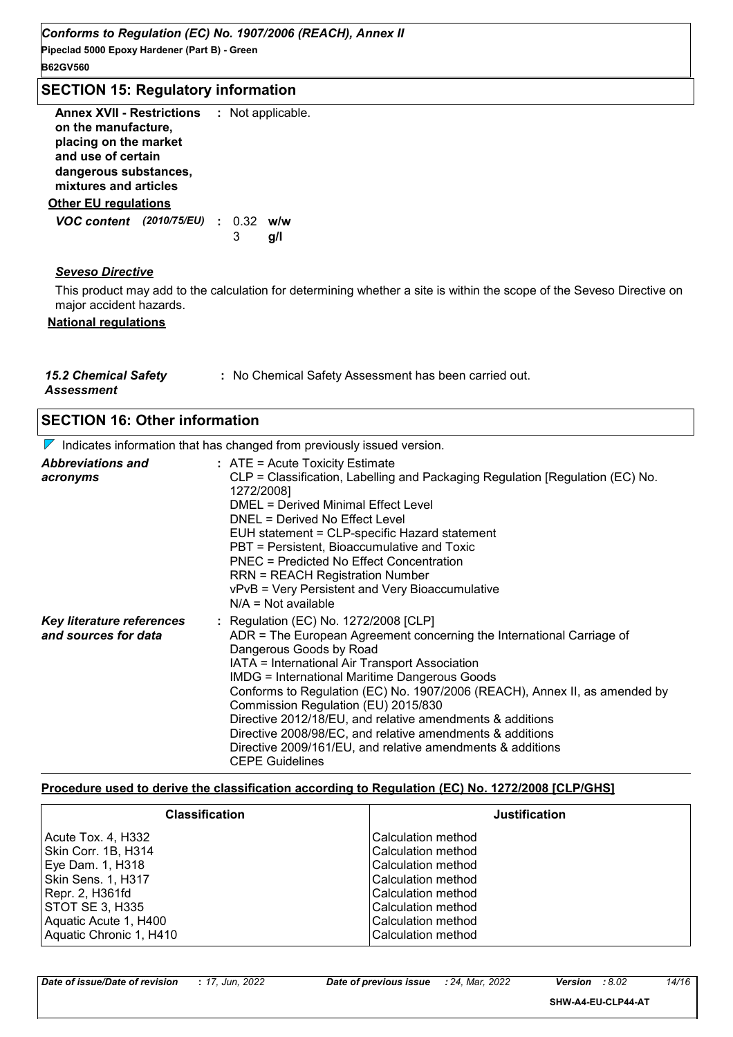| Conforms to Regulation (EC) No. 1907/2006 (REACH), Annex II<br>Pipeclad 5000 Epoxy Hardener (Part B) - Green<br><b>B62GV560</b>                   |   |                   |  |  |  |  |
|---------------------------------------------------------------------------------------------------------------------------------------------------|---|-------------------|--|--|--|--|
| <b>SECTION 15: Regulatory information</b>                                                                                                         |   |                   |  |  |  |  |
| Annex XVII - Restrictions<br>on the manufacture,<br>placing on the market<br>and use of certain<br>dangerous substances,<br>mixtures and articles |   | : Not applicable. |  |  |  |  |
| <b>Other EU regulations</b>                                                                                                                       |   |                   |  |  |  |  |
| <b>VOC content</b> (2010/75/EU) : 0.32                                                                                                            | 3 | w/w<br>g/l        |  |  |  |  |
| <b>Seveso Directive</b>                                                                                                                           |   |                   |  |  |  |  |

This product may add to the calculation for determining whether a site is within the scope of the Seveso Directive on major accident hazards.

#### **National regulations**

| <b>15.2 Chemical Safety</b> | : No Chemical Safety Assessment has been carried out. |
|-----------------------------|-------------------------------------------------------|
| Assessment                  |                                                       |

| <b>SECTION 16: Other information</b>                                                   |                                                                                                                                                                                                                                                                                                                                                                                                                                                                                                                                                                                            |  |  |  |  |
|----------------------------------------------------------------------------------------|--------------------------------------------------------------------------------------------------------------------------------------------------------------------------------------------------------------------------------------------------------------------------------------------------------------------------------------------------------------------------------------------------------------------------------------------------------------------------------------------------------------------------------------------------------------------------------------------|--|--|--|--|
| $\triangledown$ Indicates information that has changed from previously issued version. |                                                                                                                                                                                                                                                                                                                                                                                                                                                                                                                                                                                            |  |  |  |  |
| <b>Abbreviations and</b><br>acronyms                                                   | $:$ ATE = Acute Toxicity Estimate<br>CLP = Classification, Labelling and Packaging Regulation [Regulation (EC) No.<br>1272/2008]<br>DMEL = Derived Minimal Effect Level<br>DNEL = Derived No Effect Level<br>EUH statement = CLP-specific Hazard statement<br>PBT = Persistent, Bioaccumulative and Toxic<br>PNEC = Predicted No Effect Concentration<br><b>RRN = REACH Registration Number</b><br>vPvB = Very Persistent and Very Bioaccumulative<br>$N/A = Not available$                                                                                                                |  |  |  |  |
| Key literature references<br>and sources for data                                      | : Regulation (EC) No. 1272/2008 [CLP]<br>ADR = The European Agreement concerning the International Carriage of<br>Dangerous Goods by Road<br>IATA = International Air Transport Association<br><b>IMDG = International Maritime Dangerous Goods</b><br>Conforms to Regulation (EC) No. 1907/2006 (REACH), Annex II, as amended by<br>Commission Regulation (EU) 2015/830<br>Directive 2012/18/EU, and relative amendments & additions<br>Directive 2008/98/EC, and relative amendments & additions<br>Directive 2009/161/EU, and relative amendments & additions<br><b>CEPE Guidelines</b> |  |  |  |  |

#### **Procedure used to derive the classification according to Regulation (EC) No. 1272/2008 [CLP/GHS]**

| <b>Classification</b>   | <b>Justification</b> |
|-------------------------|----------------------|
| Acute Tox. 4, H332      | Calculation method   |
| Skin Corr. 1B, H314     | Calculation method   |
| Eye Dam. 1, H318        | Calculation method   |
| Skin Sens. 1, H317      | Calculation method   |
| Repr. 2, H361fd         | Calculation method   |
| STOT SE 3, H335         | Calculation method   |
| Aquatic Acute 1, H400   | Calculation method   |
| Aquatic Chronic 1, H410 | Calculation method   |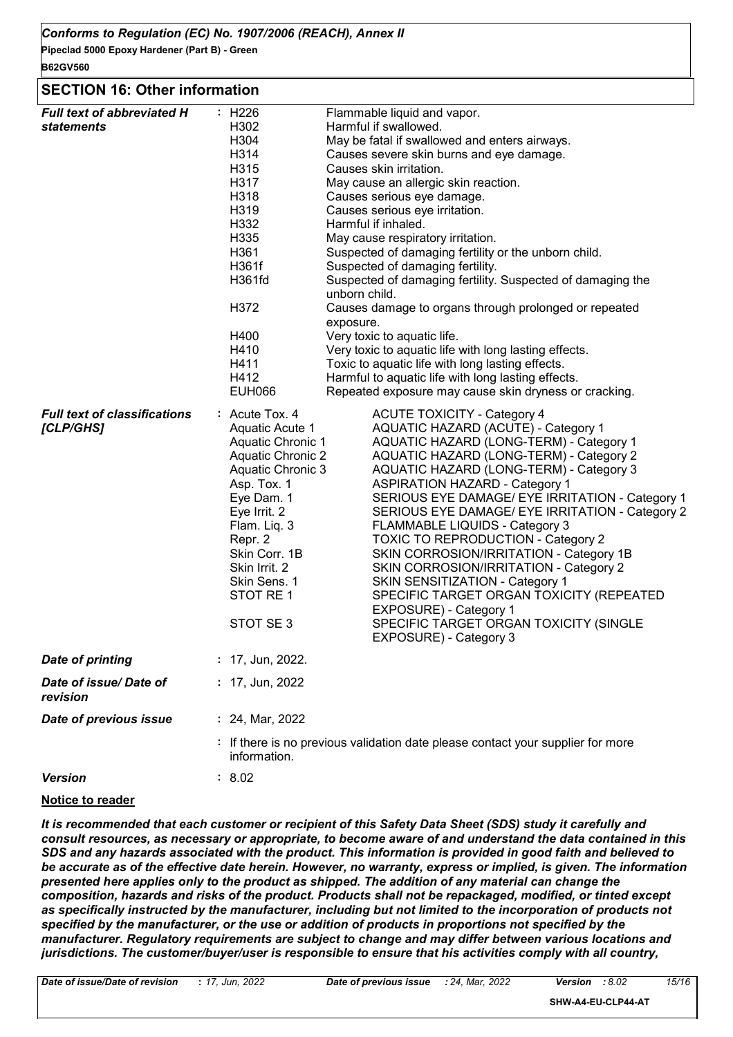#### **SECTION 16: Other information**

| <b>Full text of abbreviated H</b>                |                                                                                                 | : H226                                                                                                                                                                                                                                              |                                                                                                        | Flammable liquid and vapor.                                                                                                                                                                                                                                                                                                                                                                                                                                                                                                                                                                                                                                                                                |  |  |  |
|--------------------------------------------------|-------------------------------------------------------------------------------------------------|-----------------------------------------------------------------------------------------------------------------------------------------------------------------------------------------------------------------------------------------------------|--------------------------------------------------------------------------------------------------------|------------------------------------------------------------------------------------------------------------------------------------------------------------------------------------------------------------------------------------------------------------------------------------------------------------------------------------------------------------------------------------------------------------------------------------------------------------------------------------------------------------------------------------------------------------------------------------------------------------------------------------------------------------------------------------------------------------|--|--|--|
| <b>statements</b>                                | H302                                                                                            |                                                                                                                                                                                                                                                     | Harmful if swallowed.                                                                                  |                                                                                                                                                                                                                                                                                                                                                                                                                                                                                                                                                                                                                                                                                                            |  |  |  |
|                                                  | H304                                                                                            |                                                                                                                                                                                                                                                     | May be fatal if swallowed and enters airways.                                                          |                                                                                                                                                                                                                                                                                                                                                                                                                                                                                                                                                                                                                                                                                                            |  |  |  |
|                                                  | H314                                                                                            |                                                                                                                                                                                                                                                     |                                                                                                        | Causes severe skin burns and eye damage.                                                                                                                                                                                                                                                                                                                                                                                                                                                                                                                                                                                                                                                                   |  |  |  |
|                                                  | H315                                                                                            |                                                                                                                                                                                                                                                     |                                                                                                        | Causes skin irritation.                                                                                                                                                                                                                                                                                                                                                                                                                                                                                                                                                                                                                                                                                    |  |  |  |
|                                                  | H317                                                                                            |                                                                                                                                                                                                                                                     | May cause an allergic skin reaction.<br>Causes serious eye damage.                                     |                                                                                                                                                                                                                                                                                                                                                                                                                                                                                                                                                                                                                                                                                                            |  |  |  |
|                                                  | H318                                                                                            |                                                                                                                                                                                                                                                     |                                                                                                        |                                                                                                                                                                                                                                                                                                                                                                                                                                                                                                                                                                                                                                                                                                            |  |  |  |
|                                                  | H319                                                                                            |                                                                                                                                                                                                                                                     | Causes serious eye irritation.                                                                         |                                                                                                                                                                                                                                                                                                                                                                                                                                                                                                                                                                                                                                                                                                            |  |  |  |
|                                                  | H332                                                                                            |                                                                                                                                                                                                                                                     | Harmful if inhaled.<br>May cause respiratory irritation.                                               |                                                                                                                                                                                                                                                                                                                                                                                                                                                                                                                                                                                                                                                                                                            |  |  |  |
|                                                  | H335                                                                                            |                                                                                                                                                                                                                                                     |                                                                                                        |                                                                                                                                                                                                                                                                                                                                                                                                                                                                                                                                                                                                                                                                                                            |  |  |  |
|                                                  |                                                                                                 | H361<br>H361f                                                                                                                                                                                                                                       |                                                                                                        | Suspected of damaging fertility or the unborn child.<br>Suspected of damaging fertility.                                                                                                                                                                                                                                                                                                                                                                                                                                                                                                                                                                                                                   |  |  |  |
|                                                  |                                                                                                 |                                                                                                                                                                                                                                                     |                                                                                                        |                                                                                                                                                                                                                                                                                                                                                                                                                                                                                                                                                                                                                                                                                                            |  |  |  |
|                                                  | H361fd                                                                                          |                                                                                                                                                                                                                                                     | unborn child.                                                                                          | Suspected of damaging fertility. Suspected of damaging the                                                                                                                                                                                                                                                                                                                                                                                                                                                                                                                                                                                                                                                 |  |  |  |
|                                                  | H372                                                                                            |                                                                                                                                                                                                                                                     | exposure.                                                                                              | Causes damage to organs through prolonged or repeated                                                                                                                                                                                                                                                                                                                                                                                                                                                                                                                                                                                                                                                      |  |  |  |
|                                                  | H400                                                                                            |                                                                                                                                                                                                                                                     |                                                                                                        | Very toxic to aquatic life.                                                                                                                                                                                                                                                                                                                                                                                                                                                                                                                                                                                                                                                                                |  |  |  |
|                                                  | H410                                                                                            |                                                                                                                                                                                                                                                     | Very toxic to aquatic life with long lasting effects.                                                  |                                                                                                                                                                                                                                                                                                                                                                                                                                                                                                                                                                                                                                                                                                            |  |  |  |
|                                                  | H411                                                                                            |                                                                                                                                                                                                                                                     | Toxic to aquatic life with long lasting effects.<br>Harmful to aquatic life with long lasting effects. |                                                                                                                                                                                                                                                                                                                                                                                                                                                                                                                                                                                                                                                                                                            |  |  |  |
|                                                  | H412                                                                                            |                                                                                                                                                                                                                                                     |                                                                                                        |                                                                                                                                                                                                                                                                                                                                                                                                                                                                                                                                                                                                                                                                                                            |  |  |  |
|                                                  |                                                                                                 | <b>EUH066</b>                                                                                                                                                                                                                                       |                                                                                                        | Repeated exposure may cause skin dryness or cracking.                                                                                                                                                                                                                                                                                                                                                                                                                                                                                                                                                                                                                                                      |  |  |  |
| <b>Full text of classifications</b><br>[CLP/GHS] |                                                                                                 | : Acute Tox. 4<br>Aquatic Acute 1<br>Aquatic Chronic 1<br>Aquatic Chronic 2<br>Aquatic Chronic 3<br>Asp. Tox. 1<br>Eye Dam. 1<br>Eye Irrit. 2<br>Flam. Liq. 3<br>Repr. 2<br>Skin Corr. 1B<br>Skin Irrit. 2<br>Skin Sens. 1<br>STOT RE1<br>STOT SE 3 |                                                                                                        | <b>ACUTE TOXICITY - Category 4</b><br>AQUATIC HAZARD (ACUTE) - Category 1<br>AQUATIC HAZARD (LONG-TERM) - Category 1<br>AQUATIC HAZARD (LONG-TERM) - Category 2<br>AQUATIC HAZARD (LONG-TERM) - Category 3<br><b>ASPIRATION HAZARD - Category 1</b><br>SERIOUS EYE DAMAGE/ EYE IRRITATION - Category 1<br>SERIOUS EYE DAMAGE/ EYE IRRITATION - Category 2<br>FLAMMABLE LIQUIDS - Category 3<br><b>TOXIC TO REPRODUCTION - Category 2</b><br>SKIN CORROSION/IRRITATION - Category 1B<br>SKIN CORROSION/IRRITATION - Category 2<br>SKIN SENSITIZATION - Category 1<br>SPECIFIC TARGET ORGAN TOXICITY (REPEATED<br>EXPOSURE) - Category 1<br>SPECIFIC TARGET ORGAN TOXICITY (SINGLE<br>EXPOSURE) - Category 3 |  |  |  |
| <b>Date of printing</b>                          |                                                                                                 | : 17, Jun, 2022.                                                                                                                                                                                                                                    |                                                                                                        |                                                                                                                                                                                                                                                                                                                                                                                                                                                                                                                                                                                                                                                                                                            |  |  |  |
| Date of issue/Date of<br>revision                |                                                                                                 | $: 17,$ Jun, 2022                                                                                                                                                                                                                                   |                                                                                                        |                                                                                                                                                                                                                                                                                                                                                                                                                                                                                                                                                                                                                                                                                                            |  |  |  |
| Date of previous issue                           | : 24, Mar, 2022                                                                                 |                                                                                                                                                                                                                                                     |                                                                                                        |                                                                                                                                                                                                                                                                                                                                                                                                                                                                                                                                                                                                                                                                                                            |  |  |  |
|                                                  | : If there is no previous validation date please contact your supplier for more<br>information. |                                                                                                                                                                                                                                                     |                                                                                                        |                                                                                                                                                                                                                                                                                                                                                                                                                                                                                                                                                                                                                                                                                                            |  |  |  |
| <b>Version</b>                                   | : 8.02                                                                                          |                                                                                                                                                                                                                                                     |                                                                                                        |                                                                                                                                                                                                                                                                                                                                                                                                                                                                                                                                                                                                                                                                                                            |  |  |  |

#### **Notice to reader**

*It is recommended that each customer or recipient of this Safety Data Sheet (SDS) study it carefully and consult resources, as necessary or appropriate, to become aware of and understand the data contained in this SDS and any hazards associated with the product. This information is provided in good faith and believed to be accurate as of the effective date herein. However, no warranty, express or implied, is given. The information presented here applies only to the product as shipped. The addition of any material can change the composition, hazards and risks of the product. Products shall not be repackaged, modified, or tinted except*  as specifically instructed by the manufacturer, including but not limited to the incorporation of products not *specified by the manufacturer, or the use or addition of products in proportions not specified by the manufacturer. Regulatory requirements are subject to change and may differ between various locations and jurisdictions. The customer/buyer/user is responsible to ensure that his activities comply with all country,*